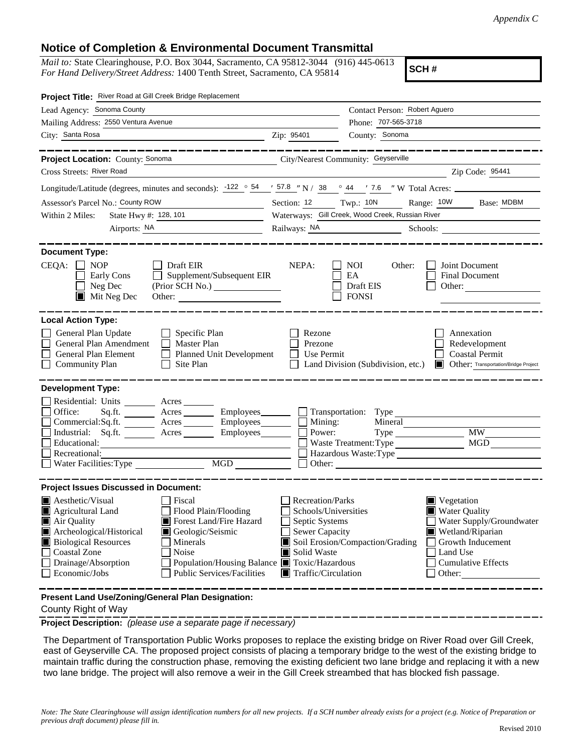## **Notice of Completion & Environmental Document Transmittal**

*Mail to:* State Clearinghouse, P.O. Box 3044, Sacramento, CA 95812-3044 (916) 445-0613 *For Hand Delivery/Street Address:* 1400 Tenth Street, Sacramento, CA 95814

**SCH #**

| Project Title: River Road at Gill Creek Bridge Replacement                                                                                                                                                                                                                                                                                                                                                                                     |                                                                                                                                                                                                                                                                                                                                                               |                                                         |                                                                                                      |  |
|------------------------------------------------------------------------------------------------------------------------------------------------------------------------------------------------------------------------------------------------------------------------------------------------------------------------------------------------------------------------------------------------------------------------------------------------|---------------------------------------------------------------------------------------------------------------------------------------------------------------------------------------------------------------------------------------------------------------------------------------------------------------------------------------------------------------|---------------------------------------------------------|------------------------------------------------------------------------------------------------------|--|
| Lead Agency: Sonoma County                                                                                                                                                                                                                                                                                                                                                                                                                     |                                                                                                                                                                                                                                                                                                                                                               | Contact Person: Robert Aguero                           |                                                                                                      |  |
| Mailing Address: 2550 Ventura Avenue                                                                                                                                                                                                                                                                                                                                                                                                           |                                                                                                                                                                                                                                                                                                                                                               | Phone: 707-565-3718                                     |                                                                                                      |  |
| City: Santa Rosa<br><u> 1989 - Johann Barbara, martxa amerikan per</u>                                                                                                                                                                                                                                                                                                                                                                         | Zip: 95401                                                                                                                                                                                                                                                                                                                                                    | County: Sonoma                                          |                                                                                                      |  |
| _________                                                                                                                                                                                                                                                                                                                                                                                                                                      |                                                                                                                                                                                                                                                                                                                                                               |                                                         |                                                                                                      |  |
| City/Nearest Community: Geyserville<br>Project Location: County: Sonoma                                                                                                                                                                                                                                                                                                                                                                        |                                                                                                                                                                                                                                                                                                                                                               |                                                         |                                                                                                      |  |
| Cross Streets: River Road                                                                                                                                                                                                                                                                                                                                                                                                                      |                                                                                                                                                                                                                                                                                                                                                               |                                                         | Zip Code: 95441                                                                                      |  |
| Longitude/Latitude (degrees, minutes and seconds): $\frac{-122}{ }$ $\circ$ $\frac{54}{ }$ $\prime$ $\frac{57.8}{ }$ $\prime\prime$ N / 38 $\circ$ 44 $\prime\prime$ 7.6 $\prime\prime$ W Total Acres:                                                                                                                                                                                                                                         |                                                                                                                                                                                                                                                                                                                                                               |                                                         |                                                                                                      |  |
| Assessor's Parcel No.: County ROW                                                                                                                                                                                                                                                                                                                                                                                                              |                                                                                                                                                                                                                                                                                                                                                               |                                                         | Section: 12 Twp.: 10N Range: 10W Base: MDBM                                                          |  |
| State Hwy #: 128, 101<br>Within 2 Miles:                                                                                                                                                                                                                                                                                                                                                                                                       | Waterways: Gill Creek, Wood Creek, Russian River                                                                                                                                                                                                                                                                                                              |                                                         |                                                                                                      |  |
|                                                                                                                                                                                                                                                                                                                                                                                                                                                |                                                                                                                                                                                                                                                                                                                                                               | Railways: NA Schools:                                   |                                                                                                      |  |
| <b>Document Type:</b><br>$CEQA: \Box NOP$<br>Draft EIR<br>Supplement/Subsequent EIR<br>Early Cons<br>Neg Dec<br>(Prior SCH No.)<br>$\blacksquare$ Mit Neg Dec<br>Other:                                                                                                                                                                                                                                                                        | NEPA:                                                                                                                                                                                                                                                                                                                                                         | <b>NOI</b><br>Other:<br>EA<br>Draft EIS<br><b>FONSI</b> | Joint Document<br>Final Document<br>Other:                                                           |  |
| <b>Local Action Type:</b><br>General Plan Update<br>$\Box$ Specific Plan<br>General Plan Amendment<br>$\Box$ Master Plan<br>General Plan Element<br>Planned Unit Development<br><b>Community Plan</b><br>Site Plan<br>$\mathsf{L}$                                                                                                                                                                                                             | Rezone<br>Prezone<br>Use Permit                                                                                                                                                                                                                                                                                                                               | Land Division (Subdivision, etc.)                       | Annexation<br>Redevelopment<br><b>Coastal Permit</b><br>Other: Transportation/Bridge Project<br>HE I |  |
| <b>Development Type:</b>                                                                                                                                                                                                                                                                                                                                                                                                                       |                                                                                                                                                                                                                                                                                                                                                               |                                                         |                                                                                                      |  |
| Residential: Units ________ Acres _______<br>Office:<br>Sq.ft. ________ Acres _________ Employees _______ __ Transportation: Type _________________________<br>Commercial:Sq.ft. ________ Acres _________ Employees ________ $\Box$<br>Industrial: Sq.ft. _______ Acres _______ Employees_______ $\square$<br>Educational:<br>Recreational:<br>$\begin{tabular}{ c c } \hline \text{MGD} & \text{---} \end{tabular}$<br>Water Facilities: Type | Mining:                                                                                                                                                                                                                                                                                                                                                       | Mineral<br>Power:<br>Waste Treatment: Type<br>Other:    | <b>MW</b><br>MGD<br>Hazardous Waste:Type                                                             |  |
| <b>Project Issues Discussed in Document:</b>                                                                                                                                                                                                                                                                                                                                                                                                   |                                                                                                                                                                                                                                                                                                                                                               |                                                         |                                                                                                      |  |
| $\blacksquare$ Aesthetic/Visual<br>Fiscal<br>Agricultural Land<br>Flood Plain/Flooding<br>Forest Land/Fire Hazard<br>Air Quality<br>Archeological/Historical<br>Geologic/Seismic<br><b>Biological Resources</b><br>Minerals<br><b>Coastal Zone</b><br>Noise<br>Drainage/Absorption<br>Population/Housing Balance ■ Toxic/Hazardous<br><b>Public Services/Facilities</b><br>Economic/Jobs                                                       | <b>Recreation/Parks</b><br>$\blacksquare$ Vegetation<br><b>Water Quality</b><br>Schools/Universities<br>Septic Systems<br>Water Supply/Groundwater<br>Sewer Capacity<br>Wetland/Riparian<br>Soil Erosion/Compaction/Grading<br>Growth Inducement<br>Solid Waste<br>Land Use<br>Ш<br><b>Cumulative Effects</b><br>$\blacksquare$ Traffic/Circulation<br>Other: |                                                         |                                                                                                      |  |
| Present Land Use/Zoning/General Plan Designation:                                                                                                                                                                                                                                                                                                                                                                                              |                                                                                                                                                                                                                                                                                                                                                               |                                                         |                                                                                                      |  |

County Right of Way

**Project Description:** *(please use a separate page if necessary)*

 The Department of Transportation Public Works proposes to replace the existing bridge on River Road over Gill Creek, east of Geyserville CA. The proposed project consists of placing a temporary bridge to the west of the existing bridge to maintain traffic during the construction phase, removing the existing deficient two lane bridge and replacing it with a new two lane bridge. The project will also remove a weir in the Gill Creek streambed that has blocked fish passage.